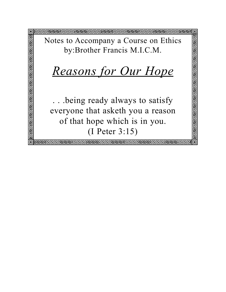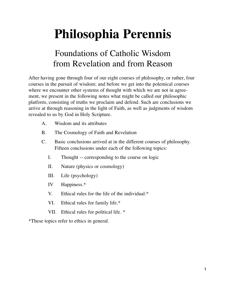# **Philosophia Perennis**

# Foundations of Catholic Wisdom from Revelation and from Reason

After having gone through four of our eight courses of philosophy, or rather, four courses in the pursuit of wisdom; and before we get into the polemical courses where we encounter other systems of thought with which we are not in agreement, we present in the following notes what might be called our philosophic platform, consisting of truths we proclaim and defend. Such are conclusions we arrive at through reasoning in the light of Faith, as well as judgments of wisdom revealed to us by God in Holy Scripture.

- A. Wisdom and its attributes
- B. The Cosmology of Faith and Revelation
- C. Basic conclusions arrived at in the different courses of philosophy. Fifteen conclusions under each of the following topics:
	- I. Thought -- corresponding to the course on logic
	- II. Nature (physics or cosmology)
	- III. Life (psychology)
	- IV Happiness.\*
	- V. Ethical rules for the life of the individual.\*
	- VI. Ethical rules for family life.\*
	- VII. Ethical rules for political life. \*

\*These topics refer to ethics in general.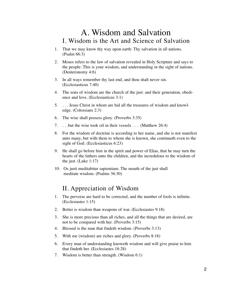## A. Wisdom and Salvation I. Wisdom is the Art and Science of Salvation

- 1. That we may know thy way upon earth: Thy salvation in all nations. (Psalm 66:3)
- 2. Moses refers to the law of salvation revealed in Holy Scripture and says to the people: This is your wisdom, and understanding in the sight of nations. (Deuteronomy 4:6)
- 3. In all ways remember thy last end, and thou shalt never sin. (Ecclesiasticus 7:40)
- 4. The sons of wisdom are the church of the just: and their generation, obedience and love. (Ecclesiasticus 3:1)
- 5. . . . Jesus Christ in whom are hid all the treasures of wisdom and knowledge. (Colossians 2:3)
- 6. The wise shall possess glory. (Proverbs 3:35)
- 7. . . .but the wise took oil in their vessels . . . (Matthew 26:4)
- 8. For the wisdom of doctrine is according to her name, and she is not manifest unto many, but with them to whom she is known, she continueth even to the sight of God. (Ecclesiasticus 6:23)
- 9. He shall go before him in the spirit and power of Elias, that he may turn the hearts of the fathers unto the children, and the incredulous to the wisdom of the just. (Luke 1:17)
- 10. Os justi meditabitur sapientiam. The mouth of the just shall meditate wisdom. (Psalms 36:30)

## II. Appreciation of Wisdom

- 1. The perverse are hard to be corrected, and the number of fools is infinite. (Ecclesiastes 1:15)
- 2. Better is wisdom than weapons of war. (Ecclesiastes 9:18)
- 3. She is more precious than all riches, and all the things that are desired, are not to be compared with her. (Proverbs 3:15)
- 4. Blessed is the man that findeth wisdom. (Proverbs 3:13)
- 5. With me (wisdom) are riches and glory. (Proverbs 8:18)
- 6. Every man of understanding knoweth wisdom and will give praise to him that findeth her. (Ecclesiastes 18:28)
- 7. Wisdom is better than strength. (Wisdom 6:1)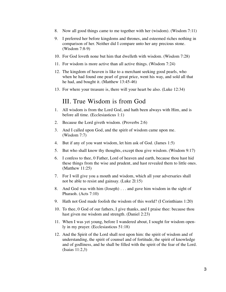- 8. Now all good things came to me together with her (wisdom). (Wisdom 7:11)
- 9. I preferred her before kingdoms and thrones, and esteemed riches nothing in comparison of her. Neither did I compare unto her any precious stone. (Wisdom 7:8-9)
- 10. For God loveth none but him that dwelleth with wisdom. (Wisdom 7:28)
- 11. For wisdom is more active than all active things. (Wisdom 7:24)
- 12. The kingdom of heaven is like to a merchant seeking good pearls, who when he had found one pearl of great price, went his way, and sold all that he had, and bought it. (Matthew 13:45-46)
- 13. For where your treasure is, there will your heart be also. (Luke 12:34)

#### III. True Wisdom is from God

- 1. All wisdom is from the Lord God, and hath been always with Him, and is before all time. (Ecclesiasticus 1:1)
- 2. Because the Lord giveth wisdom. (Proverbs 2:6)
- 3. And I called upon God, and the spirit of wisdom came upon me. (Wisdom 7:7)
- 4. But if any of you want wisdom, let him ask of God. (James 1:5)
- 5. But who shall know thy thoughts, except thou give wisdom. (Wisdom 9:17)
- 6. I confess to thee, 0 Father, Lord of heaven and earth, because thou hast hid these things from the wise and prudent, and hast revealed them to little ones. (Matthew 11:25)
- 7. For I will give you a mouth and wisdom, which all your adversaries shall not be able to resist and gainsay. (Luke 2l:15)
- 8. And God was with him (Joseph) . . . and gave him wisdom in the sight of Pharaoh. (Acts 7:10)
- 9. Hath not God made foolish the wisdom of this world? (I Corinthians 1:20)
- 10. To thee, 0 God of our fathers, I give thanks, and I praise thee: because thou hast given me wisdom and strength. (Daniel 2:23)
- 11. When I was yet young, before I wandered about, I sought for wisdom openly in my prayer. (Ecclesiasticus 51:18)
- 12. And the Spirit of the Lord shall rest upon him: the spirit of wisdom and of understanding, the spirit of counsel and of fortitude, the spirit of knowledge and of godliness, and he shall be filled with the spirit of the fear of the Lord. (Isaias 11:2,3)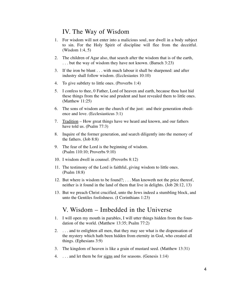#### IV. The Way of Wisdom

- 1. For wisdom will not enter into a malicious soul, nor dwell in a body subject to sin. For the Holy Spirit of discipline will flee from the deceitful. (Wisdom 1:4, 5)
- 2. The children of Agar also, that search after the wisdom that is of the earth, . . . but the way of wisdom they have not known. (Baruch 3:23)
- 3. If the iron be blunt . . . with much labour it shall be sharpened: and after industry shall follow wisdom. (Ecclesiastes 10:10)
- 4. To give subtlety to little ones. (Proverbs 1:4)
- 5. I confess to thee, 0 Father, Lord of heaven and earth, because thou hast hid these things from the wise and prudent and hast revealed them to little ones. (Matthew 11:25)
- 6. The sons of wisdom are the church of the just: and their generation obedience and love. (Ecclesiasticus 3:1)
- 7. Tradition How great things have we heard and known, and our fathers have told us. (Psalm 77:3)
- 8. Inquire of the former generation, and search diligently into the memory of the fathers. (Job 8:8)
- 9. The fear of the Lord is the beginning of wisdom. (Psalm 110:10; Proverbs 9:10)
- 10. I wisdom dwell in counsel. (Proverbs 8:12)
- 11. The testimony of the Lord is faithful, giving wisdom to little ones. (Psalm 18:8)
- 12. But where is wisdom to be found?; . . . Man knoweth not the price thereof, neither is it found in the land of them that live in delights. (Job 28:12, 13)
- 13. But we preach Christ crucified, unto the Jews indeed a stumbling block, and unto the Gentiles foolishness. (I Corinthians 1:23)

#### V. Wisdom – Imbedded in the Universe

- 1. I will open my mouth in parables, I will utter things hidden from the foundation of the world. (Matthew 13:35; Psalm 77:2)
- 2. . . . and to enlighten all men, that they may see what is the dispensation of the mystery which hath been hidden from eternity in God, who created all things. (Ephesians 3:9)
- 3. The kingdom of heaven is like a grain of mustard seed. (Matthew 13:31)
- 4. . . . and let them be for signs and for seasons. (Genesis 1:14)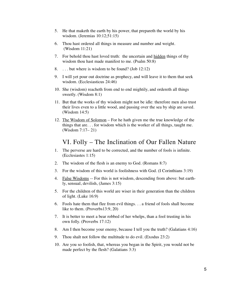- 5. He that maketh the earth by his power, that prepareth the world by his wisdom. (Jeremias 10:12;51:15)
- 6. Thou hast ordered all things in measure and number and weight. (Wisdom 11:21)
- 7. For behold thou hast loved truth: the uncertain and hidden things of thy wisdom thou hast made manifest to me. (Psalm 50:8)
- 8. . . . but where is wisdom to be found? (Job 12:12)
- 9. I will yet pour out doctrine as prophecy, and will leave it to them that seek wisdom. (Ecclesiasticus 24:46)
- 10. She (wisdom) reacheth from end to end mightily, and ordereth all things sweetly. (Wisdom 8:1)
- 11. But that the works of thy wisdom might not be idle: therefore men also trust their lives even to a little wood, and passing over the sea by ship are saved. (Wisdom 14:5)
- 12. The Wisdom of Solomon For he hath given me the true knowledge of the things that are. . . for wisdom which is the worker of all things, taught me. (Wisdom 7:17– 21)

## VI. Folly – The Inclination of Our Fallen Nature

- 1. The perverse are hard to be corrected, and the number of fools is infinite. (Ecclesiastes 1:15)
- 2. The wisdom of the flesh is an enemy to God. (Romans 8:7)
- 3. For the wisdom of this world is foolishness with God. (I Corinthians 3:19)
- 4. False Wisdoms -- For this is not wisdom, descending from above: but earthly, sensual, devilish, (James 3:15)
- 5. For the children of this world are wiser in their generation than the children of light. (Luke 16:9)
- 6. Fools hate them that flee from evil things. . . a friend of fools shall become like to them. (Proverbs13:9, 20)
- 7. It is better to meet a bear robbed of her whelps, than a fool trusting in his own folly. (Proverbs 17:12)
- 8. Am I then become your enemy, because I tell you the truth? (Galatians 4:16)
- 9. Thou shalt not follow the multitude to do evil. (Exodus 23:2)
- 10. Are you so foolish, that, whereas you began in the Spirit, you would not be made perfect by the flesh? (Galatians 3:3)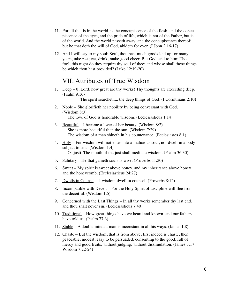- 11. For all that is in the world, is the concupiscence of the flesh, and the concupiscence of the eyes, and the pride of life, which is not of the Father, but is of the world. And the world passeth away, and the concupiscence thereof: but he that doth the will of God, abideth for ever. (I John 2:16-17)
- 12. And I will say to my soul: Soul, thou hast much goods laid up for many years, take rest; eat, drink, make good cheer. But God said to him: Thou fool, this night do they require thy soul of thee: and whose shall those things be which thou hast provided? (Luke 12:19-20)

#### VII. Attributes of True Wisdom

1. Deep – 0, Lord, how great are thy works! Thy thoughts are exceeding deep. (Psalm 91:6)

The spirit searcheth... the deep things of God. (I Corinthians 2:10)

- 2. Noble She glorifieth her nobility by being conversant with God. (Wisdom 8:3) The love of God is honorable wisdom. (Ecclesiasticus 1:14)
- 3. Beautiful I became a lover of her beauty. (Wisdom 8:2) She is more beautiful than the sun. (Wisdom 7:29) The wisdom of a man shineth in his countenance. (Ecclesiastes 8:1)
- 4. Holy For wisdom will not enter into a malicious soul, nor dwell in a body subject to sins. (Wisdom 1:4) Os justi. The mouth of the just shall meditate wisdom. (Psalm 36:30)
- 5. Salutary He that gaineth souls is wise. (Proverbs 11:30)
- 6. Sweet My spirit is sweet above honey, and my inheritance above honey and the honeycomb. (Ecclesiasticus 24:27)
- 7. Dwells in Counsel I wisdom dwell in counsel. (Proverbs 8:12)
- 8. Incompatible with Deceit For the Holy Spirit of discipline will flee from the deceitful. (Wisdom 1:5)
- 9. Concerned with the Last Things In all thy works remember thy last end, and thou shalt never sin. (Ecclesiasticus 7:40)
- 10. Traditional How great things have we heard and known, and our fathers have told us. (Psalm 77:3)
- 11. Stable A double minded man is inconstant in all his ways. (James 1:8)
- 12. Chaste But the wisdom, that is from above, first indeed is chaste, then peaceable, modest, easy to be persuaded, consenting to the good, full of mercy and good fruits, without judging, without dissimulation. (James 3:17; Wisdom 7:22-24)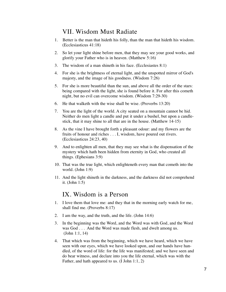## VII. Wisdom Must Radiate

- 1. Better is the man that hideth his folly, than the man that hideth his wisdom. (Ecclesiasticus 41:18)
- 2. So let your light shine before men, that they may see your good works, and glorify your Father who is in heaven. (Matthew 5:16)
- 3. The wisdom of a man shineth in his face. (Ecclesiastes 8:1)
- 4. For she is the brightness of eternal light, and the unspotted mirror of God's majesty, and the image of his goodness. (Wisdom 7:26)
- 5. For she is more beautiful than the sun, and above all the order of the stars: being compared with the light, she is found before it. For after this cometh night, but no evil can overcome wisdom. (Wisdom 7:29-30)
- 6. He that walketh with the wise shall be wise. (Proverbs 13:20)
- 7. You are the light of the world. A city seated on a mountain cannot be hid. Neither do men light a candle and put it under a bushel, but upon a candlestick, that it may shine to all that are in the house. (Matthew 14-15)
- 8. As the vine I have brought forth a pleasant odour: and my flowers are the fruits of honour and riches . . . I, wisdom, have poured out rivers. (Ecclesiasticus 24:23, 40)
- 9. And to enlighten all men, that they may see what is the dispensation of the mystery which hath been hidden from eternity in God, who created all things. (Ephesians 3:9)
- 10. That was the true light, which enlighteneth every man that cometh into the world. (John 1:9)
- 11. And the light shineth in the darkness, and the darkness did not comprehend it. (John 1:5)

#### IX. Wisdom is a Person

- 1. I love them that love me: and they that in the morning early watch for me, shall find me. (Proverbs 8:17)
- 2. I am the way, and the truth, and the life. (John 14:6)
- 3. In the beginning was the Word, and the Word was with God, and the Word was God . . . And the Word was made flesh, and dwelt among us. (John 1:1, 14)
- 4. That which was from the beginning, which we have heard, which we have seen with our eyes, which we have looked upon, and our hands have handled, of the word of life: for the life was manifested; and we have seen and do bear witness, and declare into you the life eternal, which was with the Father, and hath appeared to us. (I John 1:1, 2)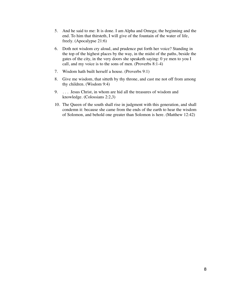- 5. And he said to me: It is done. I am Alpha and Omega; the beginning and the end. To him that thirsteth, I will give of the fountain of the water of life, freely. (Apocalypse 21:6)
- 6. Doth not wisdom cry aloud, and prudence put forth her voice? Standing in the top of the highest places by the way, in the midst of the paths, beside the gates of the city, in the very doors she speaketh saying: 0 ye men to you I call, and my voice is to the sons of men. (Proverbs 8:1-4)
- 7. Wisdom hath built herself a house. (Proverbs 9:1)
- 8. Give me wisdom, that sitteth by thy throne, and cast me not off from among thy children. (Wisdom 9:4)
- 9. . . . Jesus Christ, in whom are hid all the treasures of wisdom and knowledge. (Colossians 2:2,3)
- 10. The Queen of the south shall rise in judgment with this generation, and shall condemn it: because she came from the ends of the earth to hear the wisdom of Solomon, and behold one greater than Solomon is here. (Matthew 12:42)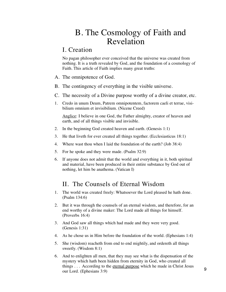## B. The Cosmology of Faith and Revelation

#### I. Creation

No pagan philosopher ever conceived that the universe was created from nothing. It is a truth revealed by God, and the foundation of a cosmology of Faith. This article of Faith implies many great truths:

- A. The omnipotence of God.
- B. The contingency of everything in the visible universe.
- C. The necessity of a Divine purpose worthy of a divine creator, etc.
- 1. Credo in unum Deum, Patrem omnipotentem, factorem caeli et terrae, visibilium omnium et invisibilium. (Nicene Creed)

Anglice: I believe in one God, the Father almighty, creator of heaven and earth, and of all things visible and invisible.

- 2. In the beginning God created heaven and earth. (Genesis 1:1)
- 3. He that liveth for ever created all things together. (Ecclesiasticus 18:1)
- 4. Where wast thou when I laid the foundation of the earth? (Job 38:4)
- 5. For he spoke and they were made. (Psalm 32:9)
- 6. If anyone does not admit that the world and everything in it, both spiritual and material, have been produced in their entire substance by God out of nothing, let him be anathema. (Vatican I)

## II. The Counsels of Eternal Wisdom

- 1. The world was created freely: Whatsoever the Lord pleased he hath done. (Psalm 134:6)
- 2. But it was through the counsels of an eternal wisdom, and therefore, for an end worthy of a divine maker: The Lord made all things for himself. (Proverbs 16:4)
- 3. And God saw all things which had made and they were very good. (Genesis 1:31)
- 4. As he chose us in Him before the foundation of the world. (Ephesians 1:4)
- 5. She (wisdom) reacheth from end to end mightily, and ordereth all things sweetly. (Wisdom 8:1)
- 6. And to enlighten all men, that they may see what is the dispensation of the mystery which hath been hidden from eternity in God, who created all things ... According to the eternal purpose which he made in Christ Jesus our Lord. (Ephesians 3:9)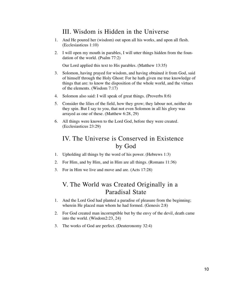## III. Wisdom is Hidden in the Universe

- 1. And He poured her (wisdom) out upon all his works, and upon all flesh. (Ecclesiasticus 1:10)
- 2. I will open my mouth in parables, I will utter things hidden from the foundation of the world. (Psalm 77:2)

Our Lord applied this text to His parables. (Matthew 13:35)

- 3. Solomon, having prayed for wisdom, and having obtained it from God, said of himself through the Holy Ghost: For he hath given me true knowledge of things that are: to know the disposition of the whole world, and the virtues of the elements. (Wisdom 7:17)
- 4. Solomon also said: I will speak of great things. (Proverbs 8:6)
- 5. Consider the lilies of the field, how they grow; they labour not, neither do they spin. But I say to you, that not even Solomon in all his glory was arrayed as one of these. (Matthew 6:28, 29)
- 6. All things were known to the Lord God, before they were created. (Ecclesiasticus 23:29)

## IV. The Universe is Conserved in Existence by God

- 1. Upholding all things by the word of his power. (Hebrews 1:3)
- 2. For Him, and by Him, and in Him are all things. (Romans 11:36)
- 3. For in Him we live and move and are. (Acts 17:28)

## V. The World was Created Originally in a Paradisal State

- 1. And the Lord God had planted a paradise of pleasure from the beginning; wherein He placed man whom he had formed. (Genesis 2:8)
- 2. For God created man incorruptible but by the envy of the devil, death came into the world. (Wisdom2:23, 24)
- 3. The works of God are perfect. (Deuteronomy 32:4)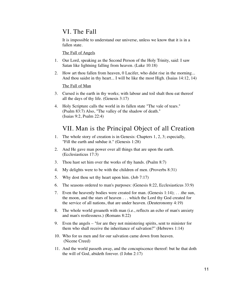## VI. The Fall

It is impossible to understand our universe, unless we know that it is in a fallen state.

The Fall of Angels

- 1. Our Lord, speaking as the Second Person of the Holy Trinity, said: I saw Satan like lightning falling from heaven. (Luke 10:18)
- 2. How art thou fallen from heaven, 0 Lucifer, who didst rise in the morning... And thou saidst in thy heart... I will be like the most High. (Isaias 14:12, 14)

The Fall of Man

- 3. Cursed is the earth in thy works; with labour and toil shalt thou eat thereof all the days of thy life. (Genesis 3:17)
- 4. Holy Scripture calls the world in its fallen state "The vale of tears." (Psalm 83:7) Also, "The valley of the shadow of death." (Isaias 9:2, Psalm 22:4)

## VII. Man is the Principal Object of all Creation

- 1. The whole story of creation is in Genesis: Chapters 1, 2, 3; especially, "Fill the earth and subdue it." (Genesis 1:28)
- 2. And He gave man power over all things that are upon the earth. (Ecclesiasticus 17:3)
- 3. Thou hast set him over the works of thy hands. (Psalm 8:7)
- 4. My delights were to be with the children of men. (Proverbs 8:31)
- 5. Why dost thou set thy heart upon him. (Job 7:17)
- 6. The seasons ordered to man's purposes: (Genesis 8:22, Ecclesiasticus 33:9)
- 7. Even the heavenly bodies were created for man. (Genesis 1:14); . . .the sun, the moon, and the stars of heaven . . . which the Lord thy God created for the service of all nations, that are under heaven. (Deuteronomy 4:19)
- 8. The whole world groaneth with man (i.e., reflects an echo of man's anxiety and man's restlessness.) (Romans 8:22)
- 9. Even the angels "for are they not ministering spirits, sent to minister for them who shall receive the inheritance of salvation?" (Hebrews 1:14)
- 10. Who for us men and for our salvation came down from heaven. (Nicene Creed)
- 11. And the world passeth away, and the concupiscence thereof: but he that doth the will of God, abideth forever. (I John 2:17)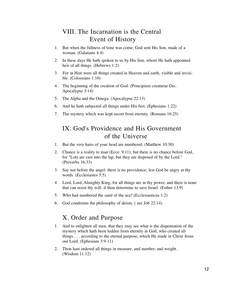## VIII. The Incarnation is the Central Event of History

- 1. But when the fullness of time was come, God sent His Son, made of a woman. (Galatians 4:4)
- 2. In these days He hath spoken to us by His Son, whom He hath appointed heir of all things. (Hebrews 1:2)
- 3. For in Him were all things created in Heaven and earth, visible and invisible. (Colossians 1:16)
- 4. The beginning of the creation of God. (Principium creaturae Dei. Apocalypse 3:14)
- 5. The Alpha and the Omega. (Apocalypse 22:13)
- 6. And he hath subjected all things under His feet. (Ephesians 1:22)
- 7. The mystery which was kept secret from eternity. (Romans 16:25)

## IX. God's Providence and His Government of the Universe

- 1. But the very hairs of your head are numbered. (Matthew 10:30)
- 2. Chance is a reality to man (Ecce. 9:11); but there is no chance before God, for "Lots are cast into the lap, but they are disposed of by the Lord." (Proverbs 16:33)
- 3. Say not before the angel: there is no providence; lest God be angry at thy words. (Ecclesiastes 5:5)
- 4. Lord, Lord, Almighty King, for all things are in thy power, and there is none that can resist thy will, if thou determine to save Israel. (Esther 13:9)
- 5. Who had numbered the sand of the sea? (Ecclesiasticus 1:2)
- 6. God condemns the philosophy of deism. ( see Job 22:14)

## X. Order and Purpose

- 1. And to enlighten all men, that they may see what is the dispensation of the mystery which hath been hidden from eternity in God, who created all things . . . according to the eternal purpose, which He made in Christ Jesus our Lord. (Ephesians 3:9-11)
- 2. Thou hast ordered all things in measure, and number, and weight. (Wisdom 11:12)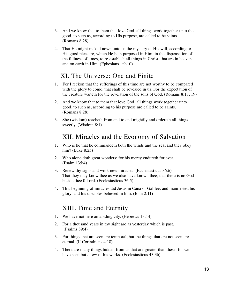- 3. And we know that to them that love God, all things work together unto the good, to such as, according to His purpose, are called to be saints. (Romans 8:28)
- 4. That He might make known unto us the mystery of His will, according to His good pleasure, which He hath purposed in Him, in the dispensation of the fullness of times, to re-establish all things in Christ, that are in heaven and on earth in Him. (Ephesians 1:9-10)

## XI. The Universe: One and Finite

- 1. For I reckon that the sufferings of this time are not worthy to be compared with the glory to come, that shall be revealed in us. For the expectation of the creature waiteth for the revelation of the sons of God. (Romans 8:18, 19)
- 2. And we know that to them that love God, all things work together unto good, to such as, according to his purpose are called to be saints. (Romans 8:28)
- 3. She (wisdom) reacheth from end to end mightily and ordereth all things sweetly. (Wisdom 8:1)

## XII. Miracles and the Economy of Salvation

- 1. Who is he that he commandeth both the winds and the sea, and they obey him? (Luke 8:25)
- 2. Who alone doth great wonders: for his mercy endureth for ever. (Psalm 135:4)
- 3. Renew thy signs and work new miracles. (Ecclesiasticus 36:6) That they may know thee as we also have known thee, that there is no God beside thee 0 Lord. (Ecclesiasticus 36:5)
- 4. This beginning of miracles did Jesus in Cana of Galilee; and manifested his glory, and his disciples believed in him. (John 2:11)

## XIII. Time and Eternity

- 1. We have not here an abiding city. (Hebrews 13:14)
- 2. For a thousand years in thy sight are as yesterday which is past. (Psalms 89:4)
- 3. For things that are seen are temporal, but the things that are not seen are eternal. (II Corinthians 4:18)
- 4. There are many things hidden from us that are greater than these: for we have seen but a few of his works. (Ecclesiasticus 43:36)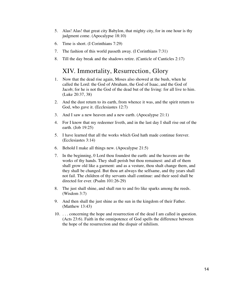- 5. Alas! Alas! that great city Babylon, that mighty city, for in one hour is thy judgment come. (Apocalypse 18:10)
- 6. Time is short. (I Corinthians 7:29)
- 7. The fashion of this world passeth away. (I Corinthians 7:31)
- 8. Till the day break and the shadows retire. (Canticle of Canticles 2:17)

#### XIV. Immortality, Resurrection, Glory

- 1. Now that the dead rise again, Moses also showed at the bush, when he called the Lord: the God of Abraham, the God of Isaac, and the God of Jacob; for he is not the God of the dead but of the living: for all live to him. (Luke 20:37, 38)
- 2. And the dust return to its earth, from whence it was, and the spirit return to God, who gave it. (Ecclesiastes 12:7)
- 3. And I saw a new heaven and a new earth. (Apocalypse 21:1)
- 4. For I know that my redeemer liveth, and in the last day I shall rise out of the earth. (Job 19:25)
- 5. I have learned that all the works which God hath made continue forever. (Ecclesiastes 3:14)
- 6. Behold I make all things new. (Apocalypse 21:5)
- 7. In the beginning, 0 Lord thou foundest the earth: and the heavens are the works of thy hands. They shall perish but thou remainest: and all of them shall grow old like a garment: and as a vesture, thou shalt change them, and they shall be changed. But thou art always the selfsame, and thy years shall not fail. The children of thy servants shall continue: and their seed shall be directed for ever. (Psalm 101:26-29)
- 8. The just shall shine, and shall run to and fro like sparks among the reeds. (Wisdom 3:7)
- 9. And then shall the just shine as the sun in the kingdom of their Father. (Matthew 13:43)
- 10. . . . concerning the hope and resurrection of the dead I am called in question. (Acts 23:6). Faith in the omnipotence of God spells the difference between the hope of the resurrection and the dispair of nihilism.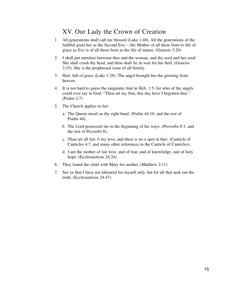## XV. Our Lady the Crown of Creation

- 1. All generations shall call me blessed (Luke 1:48). All the generations of the faithful greet her as the Second Eve -- the Mother of all those born to life of grace as Eve is of all those born to the life of nature. (Genesis 3:20)
- 2. I shall put enmities between thee and the woman, and thy seed and her seed: She shall crush thy head, and thou shalt lie in wait for her heel. (Genesis 3:15). She is the prophesied issue of all history.
- 3. Hail, full of grace (Luke 1:28). The angel brought her the greeting from heaven.
- 4. It is not hard to guess the enigmatic hint in Heb. 1:5; for who of the angels could ever say to God: "Thou art my Son, this day have I begotten thee." (Psalm 2:7)
- 5. The Church applies to her:
	- a. The Queen stood on thy right hand. (Psalm 44:10, and the rest of Psalm 44),
	- b. The Lord possessed me in the beginning of his ways. (Proverbs 8:1, and the rest of Proverbs 8),
	- c. Thou art all fair, 0 my love, and there is no a spot in thee. (Canticle of Canticles 4:7, and many other references in the Canticle of Canticles),
	- d. I am the mother of fair love, and of fear, and of knowledge, and of holy hope. (Ecclesiasticus 24:24)
- 6. They found the child with Mary his mother. (Matthew 2:11)
- 7. See ye that I have not laboured for myself only, but for all that seek out the truth. (Ecclesiasticus 24:47)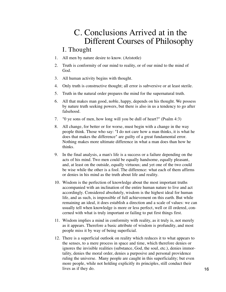# C. Conclusions Arrived at in the Different Courses of Philosophy

#### I. Thought

- 1. All men by nature desire to know. (Aristotle)
- 2. Truth is conformity of our mind to reality, or of our mind to the mind of God.
- 3. All human activity begins with thought.
- 4. Only truth is constructive thought; all error is subversive or at least sterile.
- 5. Truth in the natural order prepares the mind for the supernatural truth.
- 6. All that makes man good, noble, happy, depends on his thought. We possess by nature truth seeking powers, but there is also in us a tendency to go after falsehood.
- 7. "0 ye sons of men, how long will you be dull of heart?" (Psalm 4:3)
- 8. All change, for better or for worse, must begin with a change in the way people think. Those who say: "I do not care how a man thinks, it is what he does that makes the difference" are guilty of a great fundamental error. Nothing makes more ultimate difference in what a man does than how he thinks.
- 9. In the final analysis, a man's life is a success or a failure depending on the acts of his mind. Two men could be equally handsome, equally pleasant, and, at least on the outside, equally virtuous; and yet one of the two could be wise while the other is a fool. The difference: what each of them affirms or denies in his mind as the truth about life and reality.
- 10. Wisdom is the perfection of knowledge about the most important truths accompanied with an inclination of the entire human nature to live and act accordingly. Considered absolutely, wisdom is the highest ideal for human life, and as such, is impossible of full achievement on this earth. But while remaining an ideal, it does establish a direction and a scale of values: we can usually tell when knowledge is more or less perfect, well or ill ordered, concerned with what is truly important or failing to put first things first.
- 11. Wisdom implies a mind in conformity with reality, as it truly is, not merely as it appears. Therefore a basic attribute of wisdom is profundity, and most people miss it by way of being superficial.
- 12. There is a superficial outlook on reality which reduces it to what appears to the senses, to a mere process in space and time, which therefore denies or ignores the invisible realities (substance, God, the soul, etc.), denies immortality, denies the moral order, denies a purposive and personal providence ruling the universe. Many people are caught in this superficiality; but even more people, while not holding explicitly its principles, still conduct their lives as if they do. 16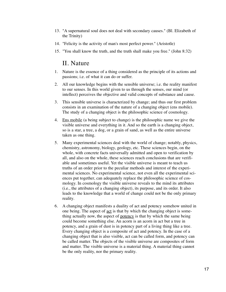- 13. "A supernatural soul does not deal with secondary causes." (Bl. Elizabeth of the Trinity)
- 14. "Felicity is the activity of man's most perfect power." (Aristotle)
- 15. "You shall know the truth, and the truth shall make you free." (John 8:32)

#### II. Nature

- 1. Nature is the essence of a thing considered as the principle of its actions and passions; i.e. of what it can do or suffer.
- 2. All our knowledge begins with the sensible universe; i.e. the reality manifest to our senses. In this world given to us through the senses, our mind (or intellect) perceives the objective and valid concepts of substance and cause.
- 3. This sensible universe is characterized by change; and thus our first problem consists in an examination of the nature of a changing object (ens mobile). The study of a changing object is the philosophic science of cosmology.
- 4. Ens mobile (a being subject to change) is the philosophic name we give the visible universe and everything in it. And so the earth is a changing object, so is a star, a tree, a dog, or a grain of sand, as well as the entire universe taken as one thing.
- 5. Many experimental sciences deal with the world of change; notably, physics, chemistry, astronomy, biology, geology, etc. These sciences begin, on the whole, with concrete facts universally admitted and open to verification by all, and also on the whole, these sciences reach conclusions that are verifiable and sometimes useful. Yet the visible universe is meant to teach us truths of an order prior to the peculiar methods and interest of the experimental sciences. No experimental science, not even all the experimental sciences put together, can adequately replace the philosophic science of cosmology. In cosmology the visible universe reveals to the mind its attributes (i.e., the attributes of a changing object), its purpose, and its order. It also leads to the knowledge that a world of change could not be the only primary reality.
- 6. A changing object manifests a duality of act and potency somehow united in one being. The aspect of act is that by which the changing object is something actually now, the aspect of potency is that by which the same being could become something else. An acorn is an acorn in act but a tree in potency, and a grain of dust is in potency part of a living thing like a tree. Every changing object is a composite of act and potency. In the case of a changing object that is also visible, act can be called form, and potency can be called matter. The objects of the visible universe are composites of form and matter. The visible universe is a material thing. A material thing cannot be the only reality, nor the primary reality.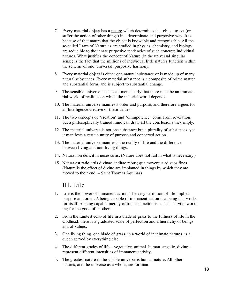- 7. Every material object has a nature which determines that object to act (or suffer the action of other things) in a determinate and purposive way. It is because of that nature that the object is knowable and recognizable. All the so-called Laws of Nature as are studied in physics, chemistry, and biology, are reducible to the innate purposive tendencies of such concrete individual natures. What justifies the concept of Nature (in the universal singular sense) is the fact that the millions of individual little natures function within the scheme of one, universal, purposive harmony.
- 8. Every material object is either one natural substance or is made up of many natural substances. Every material substance is a composite of prime matter and substantial form, and is subject to substantial change.
- 9. The sensible universe teaches all men clearly that there must be an immaterial world of realities on which the material world depends.
- 10. The material universe manifests order and purpose, and therefore argues for an Intelligence creative of these values.
- 11. The two concepts of "creation" and "omnipotence" come from revelation, but a philosophically trained mind can draw all the conclusions they imply.
- 12. The material universe is not one substance but a plurality of substances, yet it manifests a certain unity of purpose and concerted action.
- 13. The material universe manifests the reality of life and the difference between living and non-living things.
- 14. Natura non deficit in necessariis. (Nature does not fail in what is necessary.)
- 15. Natura est ratio artis divinae, inditae rebus; qua moventur ad suos fines. (Nature is the effect of divine art, implanted in things by which they are moved to their end. – Saint Thomas Aquinas)

#### III. Life

- 1. Life is the power of immanent action. The very definition of life implies purpose and order. A being capable of immanent action is a being that works for itself. A being capable merely of transient action is as such servile, working for the good of another.
- 2. From the faintest echo of life in a blade of grass to the fullness of life in the Godhead, there is a graduated scale of perfection and a hierarchy of beings and of values.
- 3. One living thing, one blade of grass, in a world of inanimate natures, is a queen served by everything else.
- 4. The different grades of life vegetative, animal, human, angelic, divine represent different intensities of immanent activity.
- 5. The greatest nature in the visible universe is human nature. All other natures, and the universe as a whole, are for man.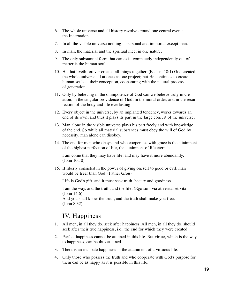- 6. The whole universe and all history revolve around one central event: the Incarnation.
- 7. In all the visible universe nothing is personal and immortal except man.
- 8. In man, the material and the spiritual meet in one nature.
- 9. The only substantial form that can exist completely independently out of matter is the human soul.
- 10. He that liveth forever created all things together. (Ecclus. 18:1) God created the whole universe all at once as one project; but He continues to create human souls at their conception, cooperating with the natural process of generation.
- 11. Only by believing in the omnipotence of God can we believe truly in creation, in the singular providence of God, in the moral order, and in the resurrection of the body and life everlasting.
- 12. Every object in the universe, by an implanted tendency, works towards an end of its own, and thus it plays its part in the large concert of the universe.
- 13. Man alone in the visible universe plays his part freely and with knowledge of the end. So while all material substances must obey the will of God by necessity, man alone can disobey.
- 14. The end for man who obeys and who cooperates with grace is the attainment of the highest perfection of life, the attainment of life eternal.

I am come that they may have life, and may have it more abundantly. (John 10:10)

15. If liberty consisted in the power of giving oneself to good or evil, man would be freer than God. (Father Grou)

Life is God's gift, and it must seek truth, beauty and goodness.

I am the way, and the truth, and the life. (Ego sum via at veritas et vita. (John 14:6)

And you shall know the truth, and the truth shall make you free. (John 8:32)

## IV. Happiness

- 1. All men, in all they do, seek after happiness. All men, in all they do, should seek after their true happiness, i.e., the end for which they were created.
- 2. Perfect happiness cannot be attained in this life. But virtue, which is the way to happiness, can be thus attained.
- 3. There is an inchoate happiness in the attainment of a virtuous life.
- 4. Only those who possess the truth and who cooperate with God's purpose for them can be as happy as it is possible in this life.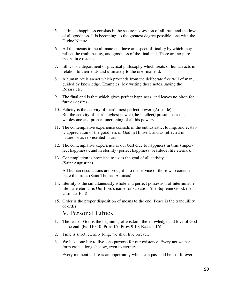- 5. Ultimate happiness consists in the secure possession of all truth and the love of all goodness. It is becoming, to the greatest degree possible, one with the Divine Nature.
- 6. All the means to the ultimate end have an aspect of finality by which they reflect the truth, beauty, and goodness of the final end. There are no pure means in existence.
- 7. Ethics is a department of practical philosophy which treats of human acts in relation to their ends and ultimately to the one final end.
- 8. A human act is an act which proceeds from the deliberate free will of man, guided by knowledge. Examples: My writing these notes, saying the Rosary etc.
- 9. The final end is that which gives perfect happiness, and leaves no place for further desires.
- 10. Felicity is the activity of man's most perfect power. (Aristotle) But the activity of man's highest power (the intellect) presupposes the wholesome and proper functioning of all his powers.
- 11. The contemplative experience consists in the enthusiastic, loving, and ecstatic appreciation of the goodness of God in Himself, and as reflected in nature, or as represented in art.
- 12. The contemplative experience is our best clue to happiness in time (imperfect happiness), and in eternity (perfect happiness, beatitude, life eternal).
- 13. Contemplation is promised to us as the goal of all activity. (Saint Augustine)

All human occupations are brought into the service of those who contemplate the truth. (Saint Thomas Aquinas)

- 14. Eternity is the simultaneously whole and perfect possession of interminable life. Life eternal is Our Lord's name for salvation (the Supreme Good, the Ultimate End).
- 15. Order is the proper disposition of means to the end. Peace is the tranquillity of order.

#### V. Personal Ethics

- 1. The fear of God is the beginning of wisdom; the knowledge and love of God is the end. (Ps. 110:10; Prov. l:7; Prov. 9:10; Eccu. 1:16)
- 2. Time is short, eternity long; we shall live forever.
- 3. We have one life to live, one purpose for our existence. Every act we perform casts a long shadow, even to eternity.
- 4. Every moment of life is an opportunity which can pass and be lost forever.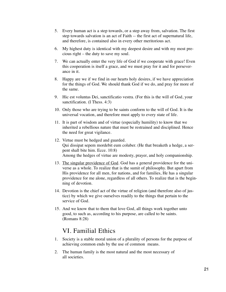- 5. Every human act is a step towards, or a step away from, salvation. The first step towards salvation is an act of Faith -- the first act of supernatural life, and therefore, is contained also in every other meritorious act.
- 6. My highest duty is identical with my deepest desire and with my most precious right – the duty to save my soul.
- 7. We can actually enter the very life of God if we cooperate with grace! Even this cooperation is itself a grace, and we must pray for it and for perseverance in it.
- 8. Happy are we if we find in our hearts holy desires, if we have appreciation for the things of God. We should thank God if we do, and pray for more of the same.
- 9. Hic est voluntas Dei, sanctificatio vestra. (For this is the will of God, your sanctification. (I Thess. 4:3)
- 10. Only those who are trying to be saints conform to the will of God. It is the universal vocation, and therefore must apply to every state of life.
- 11. It is part of wisdom and of virtue (especially humility) to know that we inherited a rebellious nature that must be restrained and disciplined. Hence the need for great vigilance.
- 12. Virtue must be hedged and guarded. Qui dissipat sepem mordebit eum coluber. (He that breaketh a hedge, a serpent shall bite him. Ecce. 10:8) Among the hedges of virtue are modesty, prayer, and holy companionship.
- 13. The singular providence of God. God has a general providence for the universe as a whole. To realize that is the sumit of philosophy. But apart from His providence for all men, for nations, and for families, He has a singular providence for me alone, regardless of all others. To realize that is the beginning of devotion.
- 14. Devotion is the chief act of the virtue of religion (and therefore also of justice) by which we give ourselves readily to the things that pertain to the service of God.
- 15. And we know that to them that love God, all things work together unto good, to such as, according to his purpose, are called to be saints. (Romans 8:28)

#### VI. Familial Ethics

- 1. Society is a stable moral union of a plurality of persons for the purpose of achieving common ends by the use of common means.
- 2. The human family is the most natural and the most necessary of all societies.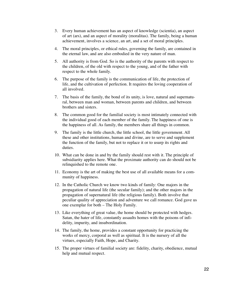- 3. Every human achievement has an aspect of knowledge (scientia), an aspect of art (ars), and an aspect of morality (moralitas). The family, being a human achievement, involves a science, an art, and a set of moral principles.
- 4. The moral principles, or ethical rules, governing the family, are contained in the eternal law, and are also embodied in the very nature of man.
- 5. All authority is from God. So is the authority of the parents with respect to the children, of the old with respect to the young, and of the father with respect to the whole family.
- 6. The purpose of the family is the communication of life, the protection of life, and the cultivation of perfection. It requires the loving cooperation of all involved.
- 7. The basis of the family, the bond of its unity, is love, natural and supernatural, between man and woman, between parents and children, and between brothers and sisters.
- 8. The common good for the familial society is most intimately connected with the individual good of each member of the family. The happiness of one is the happiness of all. As family, the members share all things in common.
- 9. The family is the little church, the little school, the little government. All these and other institutions, human and divine, are to serve and supplement the function of the family, but not to replace it or to usurp its rights and duties.
- 10. What can be done in and by the family should rest with it. The principle of subsidiarity applies here. What the proximate authority can do should not be relinquished to the remote one.
- 11. Economy is the art of making the best use of all available means for a community of happiness.
- 12. In the Catholic Church we know two kinds of family: One majors in the propagation of natural life (the secular family); and the other majors in the propagation of supernatural life (the religious family). Both involve that peculiar quality of appreciation and adventure we call romance. God gave us one exemplar for both – The Holy Family.
- 13. Like everything of great value, the home should be protected with hedges. Satan, the hater of life, constantly assaults homes with the poisons of infidelity, impurity, and insubordination.
- 14. The family, the home, provides a constant opportunity for practicing the works of mercy, corporal as well as spiritual. It is the nursery of all the virtues, especially Faith, Hope, and Charity.
- 15. The proper virtues of familial society are: fidelity, charity, obedience, mutual help and mutual respect.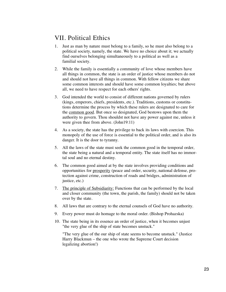## VII. Political Ethics

- 1. Just as man by nature must belong to a family, so he must also belong to a political society, namely, the state. We have no choice about it; we actually find ourselves belonging simultaneously to a political as well as a familial society.
- 2. While the family is essentially a community of love whose members have all things in common, the state is an order of justice whose members do not and should not have all things in common. With fellow citizens we share some common interests and should have some common loyalties; but above all, we need to have respect for each others' rights.
- 3. God intended the world to consist of different nations governed by rulers (kings, emperors, chiefs, presidents, etc.). Traditions, customs or constitutions determine the process by which these rulers are designated to care for the common good. But once so designated, God bestows upon them the authority to govern. Thou shouldst not have any power against me, unless it were given thee from above. (John19:11)
- 4. As a society, the state has the privilege to back its laws with coercion. This monopoly of the use of force is essential to the political order, and is also its danger. It is the door to tyranny.
- 5. All the laws of the state must seek the common good in the temporal order, the state being a natural and a temporal entity. The state itself has no immortal soul and no eternal destiny.
- 6. The common good aimed at by the state involves providing conditions and opportunities for prosperity (peace and order, security, national defense, protection against crime, construction of roads and bridges, administration of justice, etc.)
- 7. The principle of Subsidiarity: Functions that can be performed by the local and closer community (the town, the parish, the family) should not be taken over by the state.
- 8. All laws that are contrary to the eternal counsels of God have no authority.
- 9. Every power must do homage to the moral order. (Bishop Prohazska)
- 10. The state being in its essence an order of justice, when it becomes unjust "the very glue of the ship of state becomes unstuck."

"The very glue of the our ship of state seems to become unstuck." (Justice Harry Blackmun – the one who wrote the Supreme Court decision legalizing abortion!)